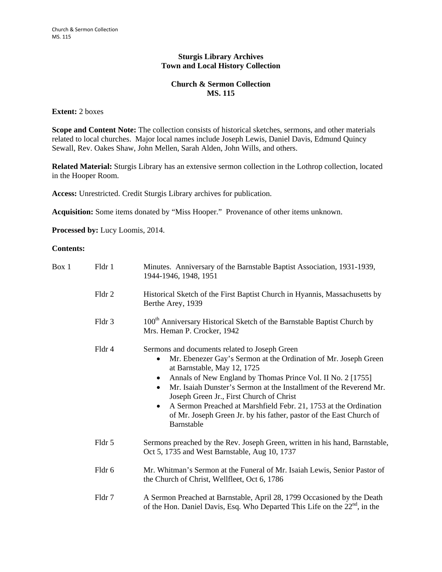## **Sturgis Library Archives Town and Local History Collection**

## **Church & Sermon Collection MS. 115**

## **Extent:** 2 boxes

**Scope and Content Note:** The collection consists of historical sketches, sermons, and other materials related to local churches. Major local names include Joseph Lewis, Daniel Davis, Edmund Quincy Sewall, Rev. Oakes Shaw, John Mellen, Sarah Alden, John Wills, and others.

**Related Material:** Sturgis Library has an extensive sermon collection in the Lothrop collection, located in the Hooper Room.

**Access:** Unrestricted. Credit Sturgis Library archives for publication.

**Acquisition:** Some items donated by "Miss Hooper." Provenance of other items unknown.

**Processed by:** Lucy Loomis, 2014.

## **Contents:**

| Box 1 | Fldr 1 | Minutes. Anniversary of the Barnstable Baptist Association, 1931-1939,<br>1944-1946, 1948, 1951                                                                                                                                                                                                                                                                                                                                                                                                                                  |
|-------|--------|----------------------------------------------------------------------------------------------------------------------------------------------------------------------------------------------------------------------------------------------------------------------------------------------------------------------------------------------------------------------------------------------------------------------------------------------------------------------------------------------------------------------------------|
|       | Fldr 2 | Historical Sketch of the First Baptist Church in Hyannis, Massachusetts by<br>Berthe Arey, 1939                                                                                                                                                                                                                                                                                                                                                                                                                                  |
|       | Fldr 3 | 100 <sup>th</sup> Anniversary Historical Sketch of the Barnstable Baptist Church by<br>Mrs. Heman P. Crocker, 1942                                                                                                                                                                                                                                                                                                                                                                                                               |
|       | Fldr 4 | Sermons and documents related to Joseph Green<br>Mr. Ebenezer Gay's Sermon at the Ordination of Mr. Joseph Green<br>$\bullet$<br>at Barnstable, May 12, 1725<br>Annals of New England by Thomas Prince Vol. II No. 2 [1755]<br>Mr. Isaiah Dunster's Sermon at the Installment of the Reverend Mr.<br>$\bullet$<br>Joseph Green Jr., First Church of Christ<br>A Sermon Preached at Marshfield Febr. 21, 1753 at the Ordination<br>$\bullet$<br>of Mr. Joseph Green Jr. by his father, pastor of the East Church of<br>Barnstable |
|       | Fldr 5 | Sermons preached by the Rev. Joseph Green, written in his hand, Barnstable,<br>Oct 5, 1735 and West Barnstable, Aug 10, 1737                                                                                                                                                                                                                                                                                                                                                                                                     |
|       | Fldr 6 | Mr. Whitman's Sermon at the Funeral of Mr. Isaiah Lewis, Senior Pastor of<br>the Church of Christ, Wellfleet, Oct 6, 1786                                                                                                                                                                                                                                                                                                                                                                                                        |
|       | Fldr 7 | A Sermon Preached at Barnstable, April 28, 1799 Occasioned by the Death<br>of the Hon. Daniel Davis, Esq. Who Departed This Life on the $22nd$ , in the                                                                                                                                                                                                                                                                                                                                                                          |